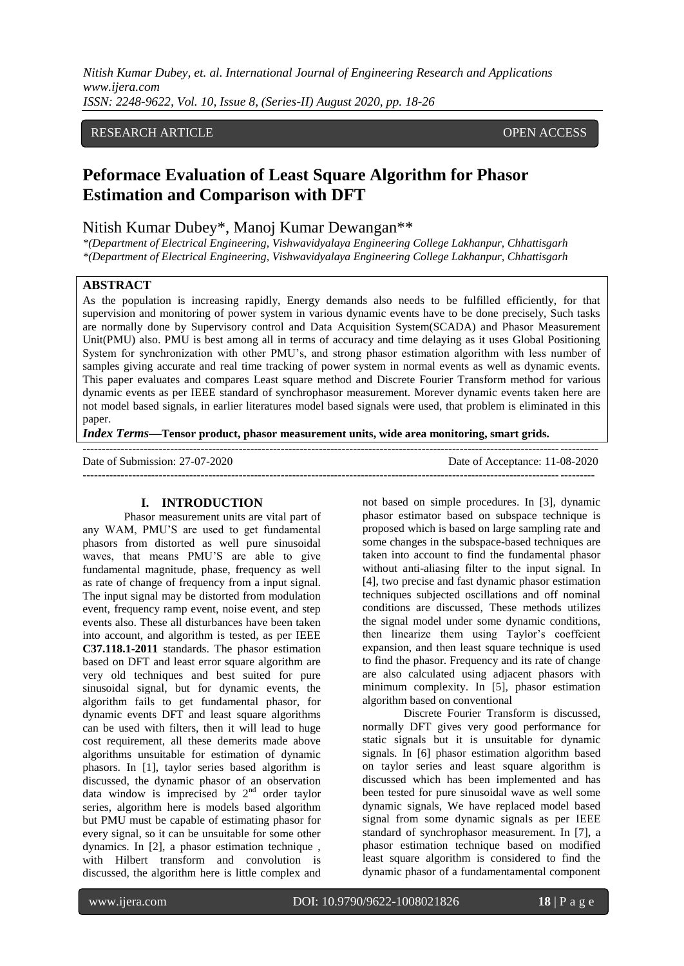*Nitish Kumar Dubey, et. al. International Journal of Engineering Research and Applications www.ijera.com ISSN: 2248-9622, Vol. 10, Issue 8, (Series-II) August 2020, pp. 18-26*

## RESEARCH ARTICLE **CONTRACT OPEN ACCESS**

# **Peformace Evaluation of Least Square Algorithm for Phasor Estimation and Comparison with DFT**

## Nitish Kumar Dubey\*, Manoj Kumar Dewangan\*\*

*\*(Department of Electrical Engineering, Vishwavidyalaya Engineering College Lakhanpur, Chhattisgarh \*(Department of Electrical Engineering, Vishwavidyalaya Engineering College Lakhanpur, Chhattisgarh*

## **ABSTRACT**

As the population is increasing rapidly, Energy demands also needs to be fulfilled efficiently, for that supervision and monitoring of power system in various dynamic events have to be done precisely, Such tasks are normally done by Supervisory control and Data Acquisition System(SCADA) and Phasor Measurement Unit(PMU) also. PMU is best among all in terms of accuracy and time delaying as it uses Global Positioning System for synchronization with other PMU's, and strong phasor estimation algorithm with less number of samples giving accurate and real time tracking of power system in normal events as well as dynamic events. This paper evaluates and compares Least square method and Discrete Fourier Transform method for various dynamic events as per IEEE standard of synchrophasor measurement. Morever dynamic events taken here are not model based signals, in earlier literatures model based signals were used, that problem is eliminated in this paper.

*Index Terms***—Tensor product, phasor measurement units, wide area monitoring, smart grids.**

--------------------------------------------------------------------------------------------------------------------------------------- Date of Submission: 27-07-2020 Date of Acceptance: 11-08-2020 --------------------------------------------------------------------------------------------------------------------------------------

## **I. INTRODUCTION**

Phasor measurement units are vital part of any WAM, PMU'S are used to get fundamental phasors from distorted as well pure sinusoidal waves, that means PMU'S are able to give fundamental magnitude, phase, frequency as well as rate of change of frequency from a input signal. The input signal may be distorted from modulation event, frequency ramp event, noise event, and step events also. These all disturbances have been taken into account, and algorithm is tested, as per IEEE **C37.118.1-2011** standards. The phasor estimation based on DFT and least error square algorithm are very old techniques and best suited for pure sinusoidal signal, but for dynamic events, the algorithm fails to get fundamental phasor, for dynamic events DFT and least square algorithms can be used with filters, then it will lead to huge cost requirement, all these demerits made above algorithms unsuitable for estimation of dynamic phasors. In [1], taylor series based algorithm is discussed, the dynamic phasor of an observation data window is imprecised by  $2<sup>nd</sup>$  order taylor series, algorithm here is models based algorithm but PMU must be capable of estimating phasor for every signal, so it can be unsuitable for some other dynamics. In [2], a phasor estimation technique , with Hilbert transform and convolution is discussed, the algorithm here is little complex and

not based on simple procedures. In [3], dynamic phasor estimator based on subspace technique is proposed which is based on large sampling rate and some changes in the subspace-based techniques are taken into account to find the fundamental phasor without anti-aliasing filter to the input signal. In [4], two precise and fast dynamic phasor estimation techniques subjected oscillations and off nominal conditions are discussed, These methods utilizes the signal model under some dynamic conditions, then linearize them using Taylor's coeffcient expansion, and then least square technique is used to find the phasor. Frequency and its rate of change are also calculated using adjacent phasors with minimum complexity. In [5], phasor estimation algorithm based on conventional

Discrete Fourier Transform is discussed, normally DFT gives very good performance for static signals but it is unsuitable for dynamic signals. In [6] phasor estimation algorithm based on taylor series and least square algorithm is discussed which has been implemented and has been tested for pure sinusoidal wave as well some dynamic signals, We have replaced model based signal from some dynamic signals as per IEEE standard of synchrophasor measurement. In [7], a phasor estimation technique based on modified least square algorithm is considered to find the dynamic phasor of a fundamentamental component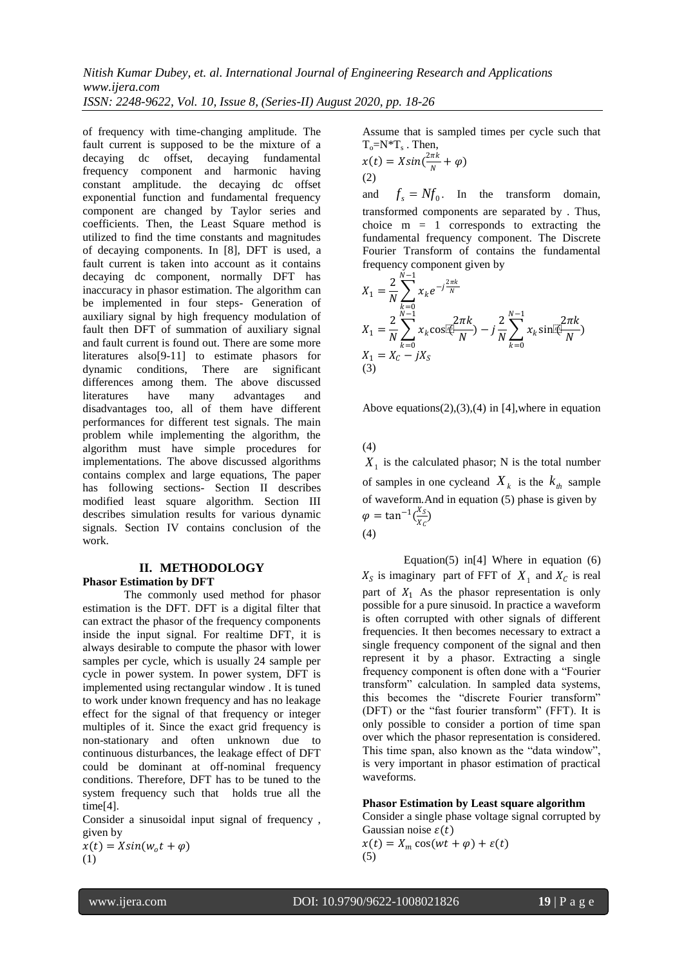*Nitish Kumar Dubey, et. al. International Journal of Engineering Research and Applications www.ijera.com*

*ISSN: 2248-9622, Vol. 10, Issue 8, (Series-II) August 2020, pp. 18-26*

of frequency with time-changing amplitude. The fault current is supposed to be the mixture of a decaying dc offset, decaying fundamental frequency component and harmonic having constant amplitude. the decaying dc offset exponential function and fundamental frequency component are changed by Taylor series and coefficients. Then, the Least Square method is utilized to find the time constants and magnitudes of decaying components. In [8], DFT is used, a fault current is taken into account as it contains decaying dc component, normally DFT has inaccuracy in phasor estimation. The algorithm can be implemented in four steps- Generation of auxiliary signal by high frequency modulation of fault then DFT of summation of auxiliary signal and fault current is found out. There are some more literatures also[9-11] to estimate phasors for dynamic conditions, There are significant differences among them. The above discussed literatures have many advantages and disadvantages too, all of them have different performances for different test signals. The main problem while implementing the algorithm, the algorithm must have simple procedures for implementations. The above discussed algorithms contains complex and large equations, The paper has following sections- Section II describes modified least square algorithm. Section III describes simulation results for various dynamic signals. Section IV contains conclusion of the work.

### **II. METHODOLOGY Phasor Estimation by DFT**

The commonly used method for phasor estimation is the DFT. DFT is a digital filter that can extract the phasor of the frequency components inside the input signal. For realtime DFT, it is always desirable to compute the phasor with lower samples per cycle, which is usually 24 sample per cycle in power system. In power system, DFT is implemented using rectangular window . It is tuned to work under known frequency and has no leakage effect for the signal of that frequency or integer multiples of it. Since the exact grid frequency is non-stationary and often unknown due to continuous disturbances, the leakage effect of DFT could be dominant at off-nominal frequency conditions. Therefore, DFT has to be tuned to the system frequency such that holds true all the time[4].

Consider a sinusoidal input signal of frequency , given by

 $x(t) = X\sin(w_0 t + \varphi)$ <br>(1)

Assume that is sampled times per cycle such that  $T_o = N^*T_s$ . Then,

$$
x(t) = X\sin(\frac{2\pi k}{N} + \varphi)
$$
  
(2)

and  $f_s = Nf_0$ . In the transform domain, transformed components are separated by . Thus, choice  $m = 1$  corresponds to extracting the fundamental frequency component. The Discrete Fourier Transform of contains the fundamental frequency component given by

$$
X_1 = \frac{2}{N} \sum_{k=0}^{N-1} x_k e^{-j\frac{2\pi k}{N}}
$$
  
\n
$$
X_1 = \frac{2}{N} \sum_{k=0}^{N-1} x_k \cos(\frac{2\pi k}{N}) - j\frac{2}{N} \sum_{k=0}^{N-1} x_k \sin(\frac{2\pi k}{N})
$$
  
\n
$$
X_1 = X_c - jX_S
$$
  
\n(3)

Above equations $(2)$ , $(3)$ , $(4)$  in [4], where in equation

(4)

 $X_1$  is the calculated phasor; N is the total number of samples in one cycleand  $X_k$  is the  $k_{th}$  sample of waveform.And in equation (5) phase is given by  $\varphi = \tan^{-1}(\frac{X_S}{r})$  $\frac{\Delta S}{X_C}$ (4)

Equation(5) in[4] Where in equation  $(6)$  $X_S$  is imaginary part of FFT of  $X_1$  and  $X_C$  is real part of  $X_1$  As the phasor representation is only possible for a pure sinusoid. In practice a waveform is often corrupted with other signals of different frequencies. It then becomes necessary to extract a single frequency component of the signal and then represent it by a phasor. Extracting a single frequency component is often done with a "Fourier transform" calculation. In sampled data systems, this becomes the "discrete Fourier transform" (DFT) or the "fast fourier transform" (FFT). It is only possible to consider a portion of time span over which the phasor representation is considered. This time span, also known as the "data window", is very important in phasor estimation of practical waveforms.

## **Phasor Estimation by Least square algorithm**

Consider a single phase voltage signal corrupted by Gaussian noise  $\varepsilon(t)$ 

 $x(t) = X_m \cos(wt + \varphi) + \varepsilon(t)$ (5)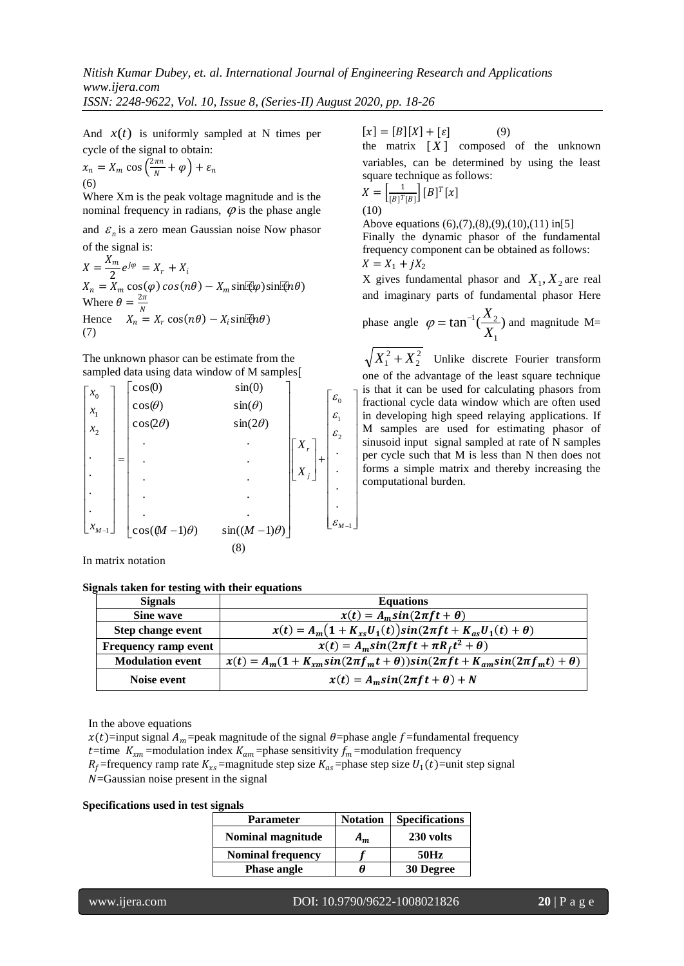*ISSN: 2248-9622, Vol. 10, Issue 8, (Series-II) August 2020, pp. 18-26*

And  $x(t)$  is uniformly sampled at N times per cycle of the signal to obtain:

$$
x_n = X_m \cos\left(\frac{2\pi n}{N} + \varphi\right) + \varepsilon_n
$$
  
(6)

Where Xm is the peak voltage magnitude and is the nominal frequency in radians,  $\varphi$  is the phase angle

and  $\varepsilon_n$  is a zero mean Gaussian noise Now phasor of the signal is:

 $X=\frac{X_m}{2}$  $\frac{2}{2}e^{j\varphi} = X_r + X_i$  $X_n = X_m \cos(\varphi) \cos(n\theta) - X_m \sin(\varphi) \sin(\varphi)$ Where  $\theta = \frac{2\pi}{N}$ Hence  $X_n^N = X_r \cos(n\theta) - X_i \sin(\theta)$ (7)

The unknown phasor can be estimate from the sampled data using data window of M samples[

$$
\begin{bmatrix} x_0 \\ x_1 \\ x_2 \\ \vdots \\ x_{M-1} \end{bmatrix} = \begin{bmatrix} \cos(0) & \sin(0) \\ \cos(\theta) & \sin(\theta) \\ \cos(2\theta) & \sin(2\theta) \\ \vdots & \vdots \\ \cos((M-1)\theta) & \sin((M-1)\theta) \end{bmatrix} \begin{bmatrix} \varepsilon_0 \\ \varepsilon_1 \\ \varepsilon_2 \\ \vdots \\ \varepsilon_{M-1} \end{bmatrix}
$$

In matrix notation

#### **Signals taken for testing with their equations**

 $[x] = [B][X] + [\varepsilon]$  (9)

the matrix  $[X]$  composed of the unknown variables, can be determined by using the least square technique as follows:

$$
X = \left[\frac{1}{[B]^T[B]}\right][B]^T[x]
$$
  
(10)

Above equations (6),(7),(8),(9),(10),(11) in[5]

Finally the dynamic phasor of the fundamental frequency component can be obtained as follows:  $X = X_1 + jX_2$ 

X gives fundamental phasor and  $X_1, X_2$  are real and imaginary parts of fundamental phasor Here

phase angle 
$$
\varphi = \tan^{-1}(\frac{X_2}{X_1})
$$
 and magnitude M=

2  $X_1^2 + X_2^2$  Unlike discrete Fourier transform one of the advantage of the least square technique is that it can be used for calculating phasors from fractional cycle data window which are often used in developing high speed relaying applications. If M samples are used for estimating phasor of sinusoid input signal sampled at rate of N samples per cycle such that M is less than N then does not forms a simple matrix and thereby increasing the computational burden.

| <b>Signals</b>           | <b>Equations</b>                                                                               |
|--------------------------|------------------------------------------------------------------------------------------------|
| Sine wave                | $x(t) = A_m sin(2\pi ft + \theta)$                                                             |
| <b>Step change event</b> | $x(t) = A_m(1 + K_{xs}U_1(t))sin(2\pi ft + K_{as}U_1(t) + \theta)$                             |
| Frequency ramp event     | $x(t) = A_m sin(2\pi ft + \pi R_f t^2 + \theta)$                                               |
| <b>Modulation event</b>  | $x(t) = A_m(1 + K_{xm}sin(2\pi f_m t + \theta))sin(2\pi f t + K_{am}sin(2\pi f_m t) + \theta)$ |
| Noise event              | $x(t) = A_m \sin(2\pi f t + \theta) + N$                                                       |

 $\overline{\phantom{a}}$  $\overline{\phantom{a}}$  $\overline{\phantom{a}}$  $\overline{\phantom{a}}$  $\overline{\phantom{a}}$  $\overline{\phantom{a}}$  $\overline{\phantom{a}}$  $\overline{\phantom{a}}$  $\overline{\phantom{a}}$  $\overline{\phantom{a}}$  $\overline{\phantom{a}}$ 

In the above equations

 $x(t)$ =input signal  $A_m$ =peak magnitude of the signal  $\theta$ =phase angle f=fundamental frequency t=time  $K_{xm}$ =modulation index  $K_{am}$ =phase sensitivity  $f_m$ =modulation frequency  $R_f$ =frequency ramp rate  $K_{xs}$ =magnitude step size  $K_{as}$ =phase step size  $U_1(t)$ =unit step signal  $N$ =Gaussian noise present in the signal

## **Specifications used in test signals**

| Parameter                | <b>Notation</b> | <b>Specifications</b> |
|--------------------------|-----------------|-----------------------|
| Nominal magnitude        | $A_m$           | 230 volts             |
| <b>Nominal frequency</b> |                 | 50Hz                  |
| <b>Phase angle</b>       | н               | 30 Degree             |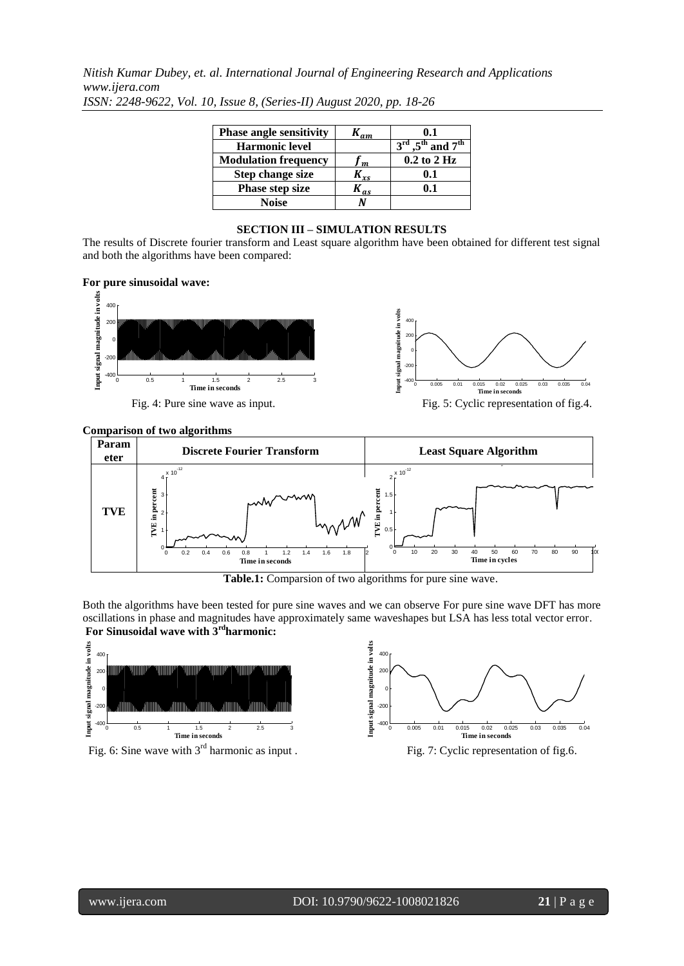*Nitish Kumar Dubey, et. al. International Journal of Engineering Research and Applications www.ijera.com*

| <b>Phase angle sensitivity</b> | $K_{\it am}$ | 0.1                                                   |
|--------------------------------|--------------|-------------------------------------------------------|
| <b>Harmonic level</b>          |              | $3^{\text{rd}}$ , $5^{\text{th}}$ and $7^{\text{th}}$ |
| <b>Modulation frequency</b>    | $\mathbf{m}$ | $0.2$ to $2$ Hz                                       |
| <b>Step change size</b>        | $x_{xs}$     | 0.1                                                   |
| Phase step size                | $K_{as}$     | 0.1                                                   |
| Noise                          |              |                                                       |

*ISSN: 2248-9622, Vol. 10, Issue 8, (Series-II) August 2020, pp. 18-26*

## **SECTION III – SIMULATION RESULTS**

The results of Discrete fourier transform and Least square algorithm have been obtained for different test signal and both the algorithms have been compared:

## **For pure sinusoidal wave:**



Fig. 4: Pure sine wave as input.



Fig. 5: Cyclic representation of fig.4.

#### **Comparison of two algorithms** 30 <u>rison of tw</u>



**Table.1:** Comparsion of two algorithms for pure sine wave.

Both the algorithms have been tested for pure sine waves and we can observe For pure sine wave DFT has more oscillations in phase and magnitudes have approximately same waveshapes but LSA has less total vector error. **For Sinusoidal wave with 3rdharmonic:**



Fig. 6: Sine wave with 3<sup>rd</sup> harmonic as input . Fig. 7: Cyclic representation of fig. 6.

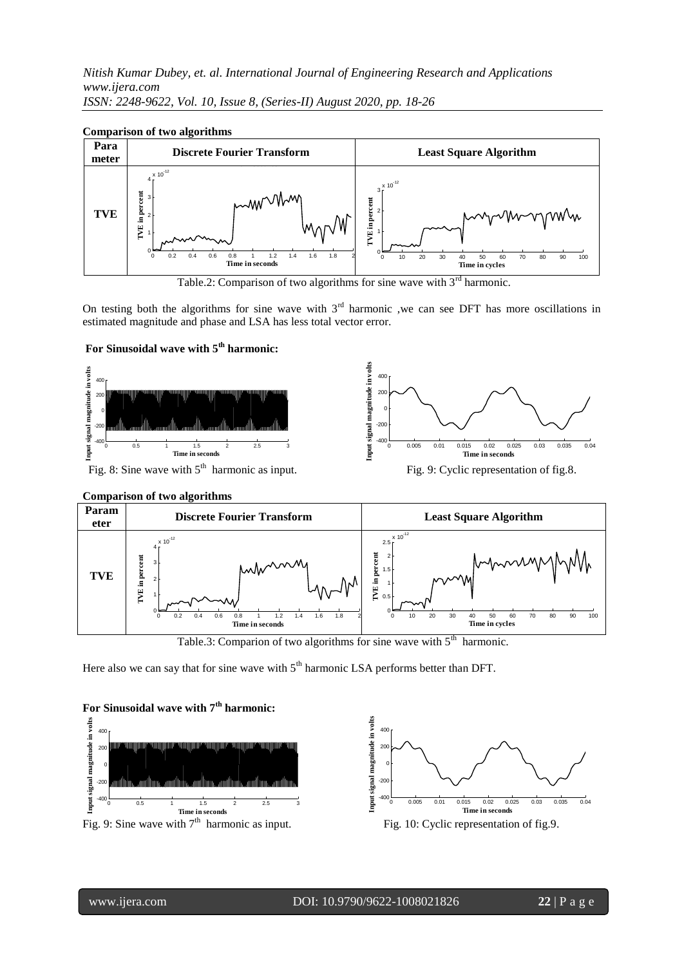*Nitish Kumar Dubey, et. al. International Journal of Engineering Research and Applications*  230 *www.ijera.com ISSN: 2248-9622, Vol. 10, Issue 8, (Series-II) August 2020, pp. 18-26* 230 i, 2248 0622 Vol. 10 Issue 8 (Series II) August 2020 *mc*<br>1.c<br>00<br>00

## Comparison of two algorithms



Table.2: Comparison of two algorithms for sine wave with  $3<sup>rd</sup>$  harmonic.

On testing both the algorithms for sine wave with  $3<sup>rd</sup>$  harmonic ,we can see DFT has more oscillations in estimated magnitude and phase and LSA has less total vector error.

## **For Sinusoidal wave with 5th harmonic:**







Table.3: Comparion of two algorithms for sine wave with  $5<sup>th</sup>$ harmonic.

Here also we can say that for sine wave with  $5<sup>th</sup>$  harmonic LSA performs better than DFT.



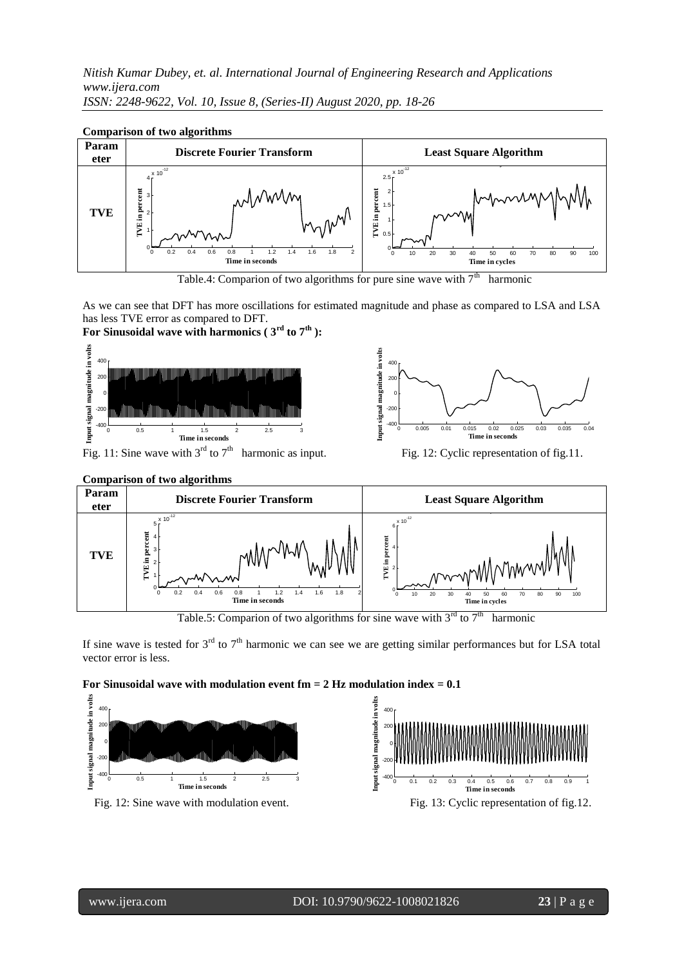*Nitish Kumar Dubey, et. al. International Journal of Engineering Research and Applications*  400 230 *www.ijera.com* 230 *ISSN: 2248-9622, Vol. 10, Issue 8, (Series-II) August 2020, pp. 18-26* 230 *ma*<br>a.c<br>48<br>on  $\overline{a}$ *h 1<br>).ij<br><u>V: 2</u><br>pa*<br>r  $\mathbf{r}$  **Estimated magnitude in volts**



### Comparison of two algorithms



As we can see that DFT has more oscillations for estimated magnitude and phase as compared to LSA and LSA has less TVE error as compared to DFT.

# **For Sinusoidal wave with harmonics ( 3rd to 7th ):**





harmonic as input. Fig. 12: Cyclic representation of fig.11.



Table.5: Comparion of two algorithms for sine wave with  $3<sup>rd</sup>$  to  $7<sup>th</sup>$ harmonic

If sine wave is tested for  $3<sup>rd</sup>$  to  $7<sup>th</sup>$  harmonic we can see we are getting similar performances but for LSA total vector error is less.

## **For Sinusoidal wave with modulation event fm = 2 Hz modulation index = 0.1**

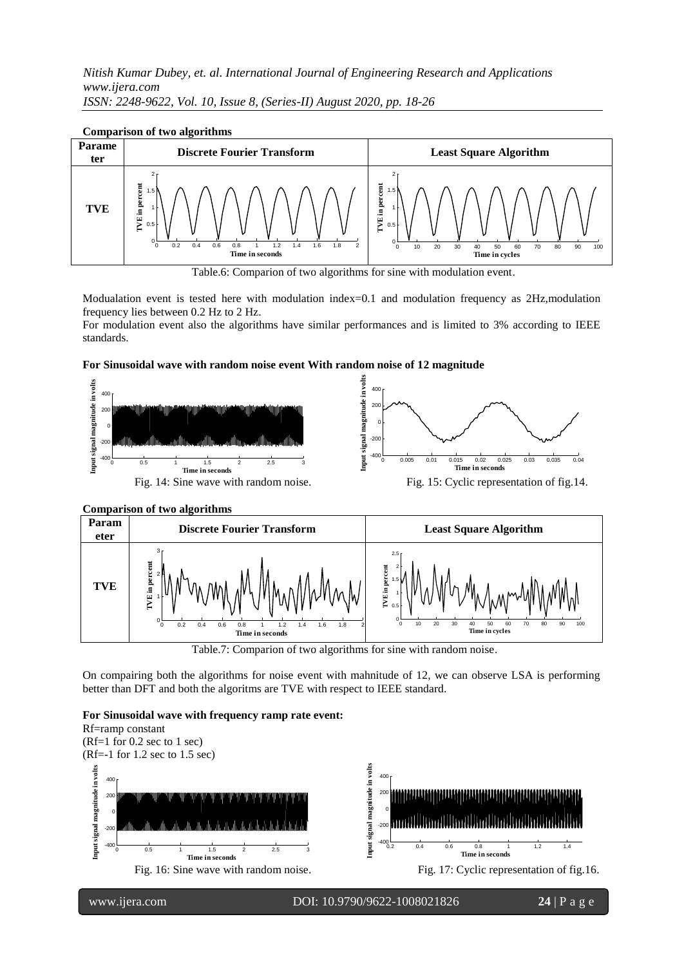Nitish Kumar Dubey, et. al. International Journal of Engineering Research and Applications *www.ijera.com* 260 *ISSN: 2248-9622, Vol. 10, Issue 8, (Series-II) August 2020, pp. 18-26* 240 200 240 na<br>.cc<br><u>8-9</u><br>.n *In K<br>ije<br>2*<br>**par**<br>**e nee**<br>0, <u>I</u>



## Comparison of two algorithms

7

Modualation event is tested here with modulation index=0.1 and modulation frequency as 2Hz,modulation frequency lies between 0.2 Hz to 2 Hz.

For modulation event also the algorithms have similar performances and is limited to 3% according to IEEE standards.

## **For Sinusoidal wave with random noise event With random noise of 12 magnitude**





**Comparison of two algorithms** 30 1 L V

Table.7: Comparion of two algorithms for sine with random noise.

On compairing both the algorithms for noise event with mahnitude of 12, we can observe LSA is performing better than DFT and both the algoritms are TVE with respect to IEEE standard.

#### **For Sinusoidal wave with frequency ramp rate event:**

Rf=ramp constant (Rf=1 for 0.2 sec to 1 sec) (Rf=-1 for 1.2 sec to 1.5 sec) Input signal magnitude in volts **Input signal magnitude in volts Input signal magnitude in volts** 400 400 г  $\overline{a}$ **20** 200 -ਰ 230 0 0  $\overline{z}$  $-200$  $-20$ 226 -400  $-400 -$ 224 0.2 0.4 0.6 0.8 1 1.2 1.4 **Time in seconds** 0 0.5 1 1.5 2 2.5 3 0 0.2 0.4 0.6 0.8 1 1.2 1.4 1.6 1.8 2 **Time in seconds Time in seconds** Fig. 16: Sine wave with random noise. Fig. 17: Cyclic representation of fig. 16. **Phase** 150

Table.6: Comparion of two algorithms for sine with modulation event.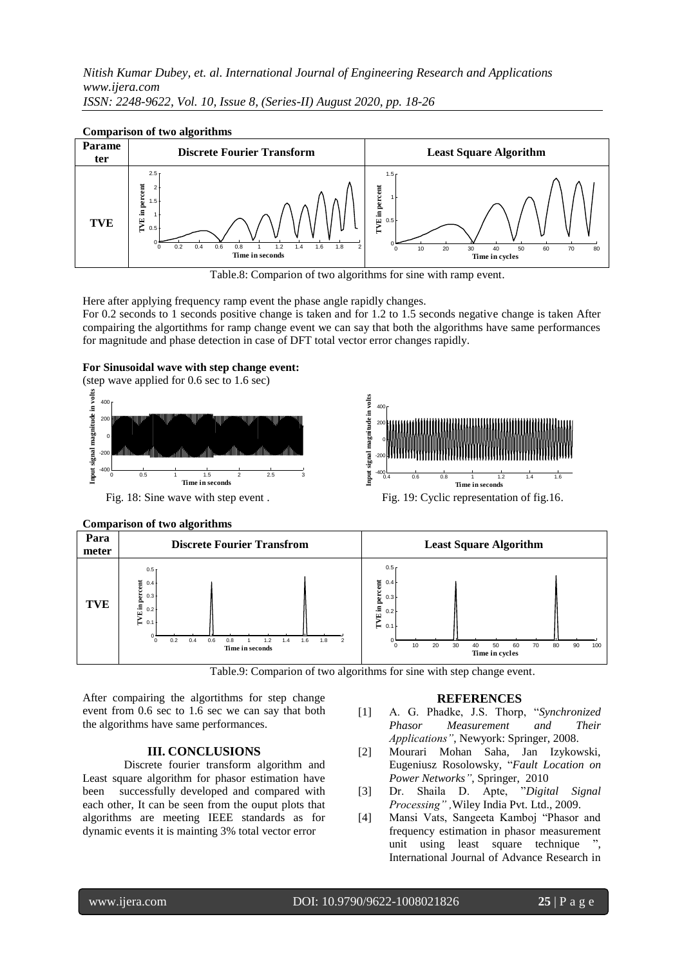Nitish Kumar Dubey, et. al. International Journal of Engineering Research and Applications *www.ijera.com* 232 *ISSN: 2248-9622, Vol. 10, Issue 8, (Series-II) August 2020, pp. 18-26* 230 *est*<br> *Est*<br> **Est**<br> **Est**<br> **Est**<br> **Est** *In K*<br>*ije*<br>2 **2 pan**<br>me **ne**<br>0, 1

#### Parame **ter Discrete Fourier Transform Least Square Algorithm TVE** 0.2 0.4 0.6 0.8 1 1.2 1.4 0 0.2 0.4 0.6 0.8 1 1.2 1.4 1.6 1.8 2  $0 \overline{0}$ . 1 F 1.5 2 F 2.5 **Time in seconds TVE in percent** 0 0.2 0.4 0.6 0.8 1 1.2 1.4 1.6 1.8 2 **Least Square Algorithm** 0 10 20 30 40 50 60 70 80  $0 0.5$ 1 F 1.5 **Time in cycles TVE in percent**  $0$  0.2 0.4 0.6 0.8 1 1.2 1.4 1.6 1.  $\mathbf{I}$ 50 100 150 200 **Time Phase in degree**

230



—<br>—

Here after applying frequency ramp event the phase angle rapidly changes. For 0.2 seconds to 1 seconds positive change is taken and for 1.2 to 1.5 seconds negative change is taken After compairing the algortithms for ramp change event we can say that both the algorithms have same performances for magnitude and phase detection in case of DFT total vector error changes rapidly.

## **For Sinusoidal wave with step change event:**

(step wave applied for 0.6 sec to 1.6 sec) input signal magnitude in volts **Input signal magnitude in volts** 400 г 200 0  $20$  $\begin{bmatrix} 1 \end{bmatrix}$ <br> **Fig**<br>  $\begin{bmatrix} 1 \end{bmatrix}$ 400 -400 0 0.5 1 1.5 2 2.5 3  $\overline{a}$ **Time in seconds**





Fig. 18: Sine wave with step event . Fig. 19: Cyclic representation of fig. 16.

#### **Comparison of two algorithms** rison of **1**



Table.9: Comparion of two algorithms for sine with step change event.

After compairing the algortithms for step change event from 0.6 sec to 1.6 sec we can say that both the algorithms have same performances.

## **III. CONCLUSIONS**

Discrete fourier transform algorithm and Least square algorithm for phasor estimation have been successfully developed and compared with each other, It can be seen from the ouput plots that algorithms are meeting IEEE standards as for dynamic events it is mainting 3% total vector error

## **REFERENCES**

- [1] A. G. Phadke, J.S. Thorp, "*Synchronized Phasor Measurement and Their Applications"*, Newyork: Springer, 2008.
- [2] Mourari Mohan Saha, Jan Izykowski, Eugeniusz Rosolowsky, "*Fault Location on Power Networks"*, Springer, 2010
- [3] Dr. Shaila D. Apte, "*Digital Signal Processing" ,*Wiley India Pvt. Ltd., 2009.
- [4] Mansi Vats, Sangeeta Kamboj "Phasor and frequency estimation in phasor measurement unit using least square technique ", International Journal of Advance Research in

Table.8: Comparion of two algorithms for sine with ramp event.